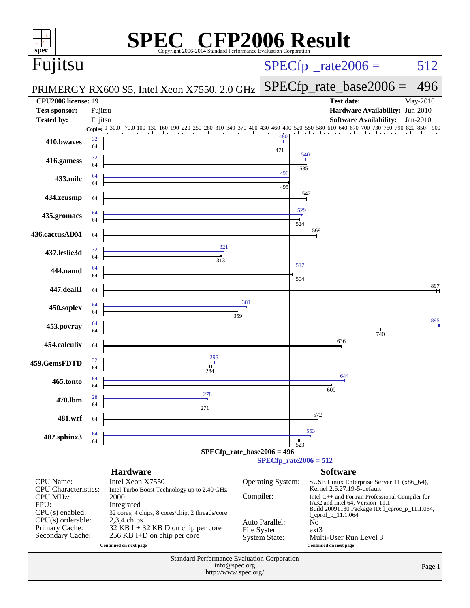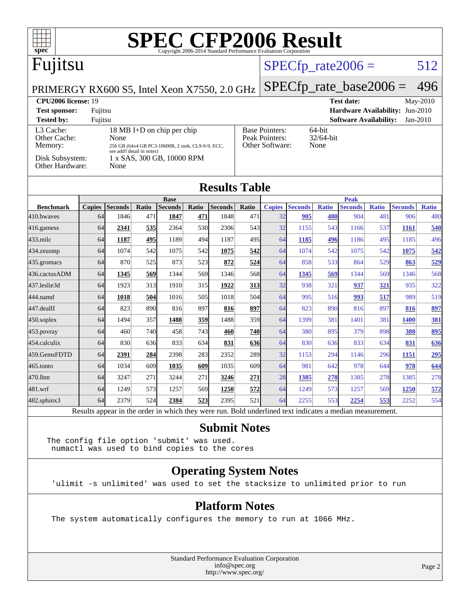| $\textbf{SPE}_{\text{Copyright 2006-2014 Standard Performance Evaluation Corporation}} \textbf{Results}$<br>$spec^*$                                                                                                                      |               |                |       |                               |                                                                                           |                |       |                      |                            |              |                               |              |                |              |
|-------------------------------------------------------------------------------------------------------------------------------------------------------------------------------------------------------------------------------------------|---------------|----------------|-------|-------------------------------|-------------------------------------------------------------------------------------------|----------------|-------|----------------------|----------------------------|--------------|-------------------------------|--------------|----------------|--------------|
| Fujitsu                                                                                                                                                                                                                                   |               |                |       |                               |                                                                                           |                |       | $SPECfp\_rate2006 =$ |                            |              |                               |              | 512            |              |
| PRIMERGY RX600 S5, Intel Xeon X7550, 2.0 GHz                                                                                                                                                                                              |               |                |       |                               |                                                                                           |                |       |                      | $SPECfp\_rate\_base2006 =$ |              |                               |              |                | 496          |
| <b>CPU2006 license: 19</b><br><b>Test date:</b><br>May-2010                                                                                                                                                                               |               |                |       |                               |                                                                                           |                |       |                      |                            |              |                               |              |                |              |
| Hardware Availability: Jun-2010<br><b>Test sponsor:</b><br>Fujitsu                                                                                                                                                                        |               |                |       |                               |                                                                                           |                |       |                      |                            |              |                               |              |                |              |
| Jan-2010<br><b>Tested by:</b><br>Fujitsu<br><b>Software Availability:</b>                                                                                                                                                                 |               |                |       |                               |                                                                                           |                |       |                      |                            |              |                               |              |                |              |
| L3 Cache:<br>18 MB I+D on chip per chip<br>Other Cache:<br>None<br>Memory:<br>256 GB (64x4 GB PC3-10600R, 2 rank, CL9-9-9, ECC,<br>see add'l detail in notes)<br>Disk Subsystem:<br>1 x SAS, 300 GB, 10000 RPM<br>Other Hardware:<br>None |               |                |       |                               | <b>Base Pointers:</b><br>64-bit<br>Peak Pointers:<br>32/64-bit<br>Other Software:<br>None |                |       |                      |                            |              |                               |              |                |              |
| <b>Results Table</b>                                                                                                                                                                                                                      |               |                |       |                               |                                                                                           |                |       |                      |                            |              |                               |              |                |              |
| <b>Benchmark</b>                                                                                                                                                                                                                          | <b>Copies</b> | <b>Seconds</b> | Ratio | <b>Base</b><br><b>Seconds</b> | Ratio                                                                                     | <b>Seconds</b> | Ratio | <b>Copies</b>        | <b>Seconds</b>             | <b>Ratio</b> | <b>Peak</b><br><b>Seconds</b> | <b>Ratio</b> | <b>Seconds</b> | <b>Ratio</b> |
| 410.bwayes                                                                                                                                                                                                                                | 64            | 1846           | 471   | 1847                          | 471                                                                                       | 1848           | 471   | 32                   | 905                        | 480          | 904                           | 481          | 906            | 480          |
| 416.gamess                                                                                                                                                                                                                                | 64            | 2341           | 535   | 2364                          | 530                                                                                       | 2306           | 543   | 32                   | 1155                       | 543          | 1166                          | 537          | 1161           | 540          |
| 433.milc                                                                                                                                                                                                                                  | 64            | 1187           | 495   | 1189                          | 494                                                                                       | 1187           | 495   | 64                   | 1185                       | 496          | 1186                          | 495          | 1185           | 496          |
| 434.zeusmp                                                                                                                                                                                                                                | 64            | 1074           | 542   | 1075                          | 542                                                                                       | 1075           | 542   | 64                   | 1074                       | 542          | 1075                          | 542          | 1075           | 542          |
| 435.gromacs                                                                                                                                                                                                                               | 64            | 870            | 525   | 873                           | 523                                                                                       | 872            | 524   | 64                   | 858                        | 533          | 864                           | 529          | 863            | 529          |
| 436.cactusADM                                                                                                                                                                                                                             | 64            | 1345           | 569   | 1344                          | 569                                                                                       | 1346           | 568   | 64                   | 1345                       | 569          | 1344                          | 569          | 1346           | 568          |
| 437.leslie3d                                                                                                                                                                                                                              | 64            | 1923           | 313   | 1910                          | 315                                                                                       | 1922           | 313   | 32                   | 938                        | 321          | 937                           | 321          | 935            | 322          |
| 444.namd                                                                                                                                                                                                                                  | 64            | 1018           | 504   | 1016                          | 505                                                                                       | 1018           | 504   | 64                   | 995                        | 516          | 993                           | 517          | 989            | 519          |
| 447.dealII                                                                                                                                                                                                                                | 64            | 823            | 890   | 816                           | 897                                                                                       | 816            | 897   | 64                   | 823                        | 890          | 816                           | 897          | 816            | 897          |
| 450.soplex                                                                                                                                                                                                                                | 64            | 1494           | 357   | 1488                          | 359                                                                                       | 1488           | 359   | 64                   | 1399                       | 381          | 1401                          | 381          | <b>1400</b>    | 381          |
| 453.povray                                                                                                                                                                                                                                | 64            | 460            | 740   | 458                           | 743                                                                                       | 460            | 740   | 64                   | 380                        | 895          | 379                           | 898          | 380            | 895          |
| 454.calculix                                                                                                                                                                                                                              | 64            | 830            | 636   | 833                           | 634                                                                                       | 831            | 636   | 64                   | 830                        | 636          | 833                           | 634          | 831            | 636          |
| 459.GemsFDTD                                                                                                                                                                                                                              | 64            | 2391           | 284   | 2398                          | 283                                                                                       | 2352           | 289   | 32                   | 1153                       | 294          | 1146                          | 296          | 1151           | 295          |
| 465.tonto                                                                                                                                                                                                                                 | 64            | 1034           | 609   | 1035                          | 609                                                                                       | 1035           | 609   | 64                   | 981                        | 642          | 978                           | 644          | 978            | 644          |
| 470.lbm                                                                                                                                                                                                                                   | 64            | 3247           | 271   | 3244                          | 271                                                                                       | 3246           | 271   | 28                   | 1385                       | 278          | 1385                          | 278          | 1385           | 278          |
| 481.wrf                                                                                                                                                                                                                                   | 64            | 1249           | 573   | 1257                          | 569                                                                                       | 1250           | 572   | 64                   | 1249                       | 573          | 1257                          | 569          | 1250           | 572          |

Results appear in the [order in which they were run.](http://www.spec.org/auto/cpu2006/Docs/result-fields.html#RunOrder) Bold underlined text [indicates a median measurement.](http://www.spec.org/auto/cpu2006/Docs/result-fields.html#Median) **[Submit Notes](http://www.spec.org/auto/cpu2006/Docs/result-fields.html#SubmitNotes)**

[482.sphinx3](http://www.spec.org/auto/cpu2006/Docs/482.sphinx3.html) 64 2379 524 **[2384](http://www.spec.org/auto/cpu2006/Docs/result-fields.html#Median) [523](http://www.spec.org/auto/cpu2006/Docs/result-fields.html#Median)** 2395 521 64 2255 553 **[2254](http://www.spec.org/auto/cpu2006/Docs/result-fields.html#Median) [553](http://www.spec.org/auto/cpu2006/Docs/result-fields.html#Median)** 2252 554

The config file option 'submit' was used. numactl was used to bind copies to the cores

#### **[Operating System Notes](http://www.spec.org/auto/cpu2006/Docs/result-fields.html#OperatingSystemNotes)**

'ulimit -s unlimited' was used to set the stacksize to unlimited prior to run

#### **[Platform Notes](http://www.spec.org/auto/cpu2006/Docs/result-fields.html#PlatformNotes)**

The system automatically configures the memory to run at 1066 MHz.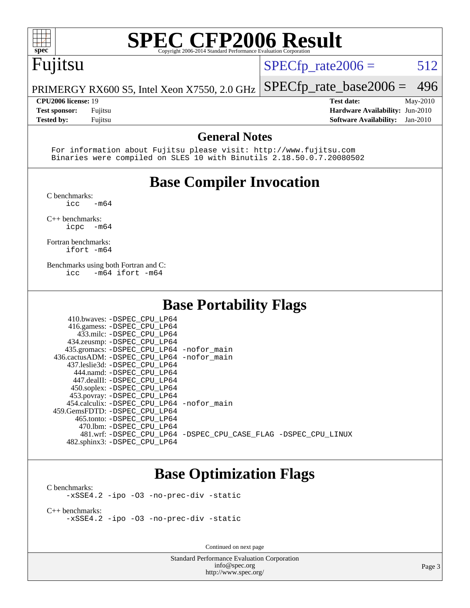

## Fujitsu

 $SPECTp_rate2006 = 512$ 

[SPECfp\\_rate\\_base2006 =](http://www.spec.org/auto/cpu2006/Docs/result-fields.html#SPECfpratebase2006) 496

PRIMERGY RX600 S5, Intel Xeon X7550, 2.0 GHz

**[CPU2006 license:](http://www.spec.org/auto/cpu2006/Docs/result-fields.html#CPU2006license)** 19 **[Test date:](http://www.spec.org/auto/cpu2006/Docs/result-fields.html#Testdate)** May-2010 **[Test sponsor:](http://www.spec.org/auto/cpu2006/Docs/result-fields.html#Testsponsor)** Fujitsu **[Hardware Availability:](http://www.spec.org/auto/cpu2006/Docs/result-fields.html#HardwareAvailability)** Jun-2010 **[Tested by:](http://www.spec.org/auto/cpu2006/Docs/result-fields.html#Testedby)** Fujitsu **[Software Availability:](http://www.spec.org/auto/cpu2006/Docs/result-fields.html#SoftwareAvailability)** Jan-2010

#### **[General Notes](http://www.spec.org/auto/cpu2006/Docs/result-fields.html#GeneralNotes)**

 For information about Fujitsu please visit: <http://www.fujitsu.com> Binaries were compiled on SLES 10 with Binutils 2.18.50.0.7.20080502

### **[Base Compiler Invocation](http://www.spec.org/auto/cpu2006/Docs/result-fields.html#BaseCompilerInvocation)**

[C benchmarks](http://www.spec.org/auto/cpu2006/Docs/result-fields.html#Cbenchmarks):

 $\text{icc}$   $-\text{m64}$ 

[C++ benchmarks:](http://www.spec.org/auto/cpu2006/Docs/result-fields.html#CXXbenchmarks) [icpc -m64](http://www.spec.org/cpu2006/results/res2010q3/cpu2006-20100702-12043.flags.html#user_CXXbase_intel_icpc_64bit_bedb90c1146cab66620883ef4f41a67e)

[Fortran benchmarks](http://www.spec.org/auto/cpu2006/Docs/result-fields.html#Fortranbenchmarks): [ifort -m64](http://www.spec.org/cpu2006/results/res2010q3/cpu2006-20100702-12043.flags.html#user_FCbase_intel_ifort_64bit_ee9d0fb25645d0210d97eb0527dcc06e)

[Benchmarks using both Fortran and C](http://www.spec.org/auto/cpu2006/Docs/result-fields.html#BenchmarksusingbothFortranandC): [icc -m64](http://www.spec.org/cpu2006/results/res2010q3/cpu2006-20100702-12043.flags.html#user_CC_FCbase_intel_icc_64bit_0b7121f5ab7cfabee23d88897260401c) [ifort -m64](http://www.spec.org/cpu2006/results/res2010q3/cpu2006-20100702-12043.flags.html#user_CC_FCbase_intel_ifort_64bit_ee9d0fb25645d0210d97eb0527dcc06e)

#### **[Base Portability Flags](http://www.spec.org/auto/cpu2006/Docs/result-fields.html#BasePortabilityFlags)**

| 410.bwaves: -DSPEC CPU LP64                |                                                                |
|--------------------------------------------|----------------------------------------------------------------|
| 416.gamess: -DSPEC_CPU_LP64                |                                                                |
| 433.milc: -DSPEC CPU LP64                  |                                                                |
| 434.zeusmp: -DSPEC_CPU_LP64                |                                                                |
| 435.gromacs: -DSPEC_CPU_LP64 -nofor_main   |                                                                |
| 436.cactusADM: -DSPEC_CPU_LP64 -nofor main |                                                                |
| 437.leslie3d: -DSPEC CPU LP64              |                                                                |
| 444.namd: -DSPEC CPU LP64                  |                                                                |
| 447.dealII: -DSPEC_CPU LP64                |                                                                |
| 450.soplex: -DSPEC CPU LP64                |                                                                |
| 453.povray: -DSPEC_CPU_LP64                |                                                                |
| 454.calculix: -DSPEC_CPU_LP64 -nofor_main  |                                                                |
| 459.GemsFDTD: -DSPEC CPU LP64              |                                                                |
| 465.tonto: -DSPEC CPU LP64                 |                                                                |
| 470.1bm: -DSPEC CPU LP64                   |                                                                |
|                                            | 481.wrf: -DSPEC CPU_LP64 -DSPEC_CPU_CASE_FLAG -DSPEC_CPU_LINUX |
| 482.sphinx3: -DSPEC_CPU_LP64               |                                                                |

#### **[Base Optimization Flags](http://www.spec.org/auto/cpu2006/Docs/result-fields.html#BaseOptimizationFlags)**

[C benchmarks](http://www.spec.org/auto/cpu2006/Docs/result-fields.html#Cbenchmarks): [-xSSE4.2](http://www.spec.org/cpu2006/results/res2010q3/cpu2006-20100702-12043.flags.html#user_CCbase_f-xSSE42_f91528193cf0b216347adb8b939d4107) [-ipo](http://www.spec.org/cpu2006/results/res2010q3/cpu2006-20100702-12043.flags.html#user_CCbase_f-ipo) [-O3](http://www.spec.org/cpu2006/results/res2010q3/cpu2006-20100702-12043.flags.html#user_CCbase_f-O3) [-no-prec-div](http://www.spec.org/cpu2006/results/res2010q3/cpu2006-20100702-12043.flags.html#user_CCbase_f-no-prec-div) [-static](http://www.spec.org/cpu2006/results/res2010q3/cpu2006-20100702-12043.flags.html#user_CCbase_f-static)

[C++ benchmarks:](http://www.spec.org/auto/cpu2006/Docs/result-fields.html#CXXbenchmarks) [-xSSE4.2](http://www.spec.org/cpu2006/results/res2010q3/cpu2006-20100702-12043.flags.html#user_CXXbase_f-xSSE42_f91528193cf0b216347adb8b939d4107) [-ipo](http://www.spec.org/cpu2006/results/res2010q3/cpu2006-20100702-12043.flags.html#user_CXXbase_f-ipo) [-O3](http://www.spec.org/cpu2006/results/res2010q3/cpu2006-20100702-12043.flags.html#user_CXXbase_f-O3) [-no-prec-div](http://www.spec.org/cpu2006/results/res2010q3/cpu2006-20100702-12043.flags.html#user_CXXbase_f-no-prec-div) [-static](http://www.spec.org/cpu2006/results/res2010q3/cpu2006-20100702-12043.flags.html#user_CXXbase_f-static)

Continued on next page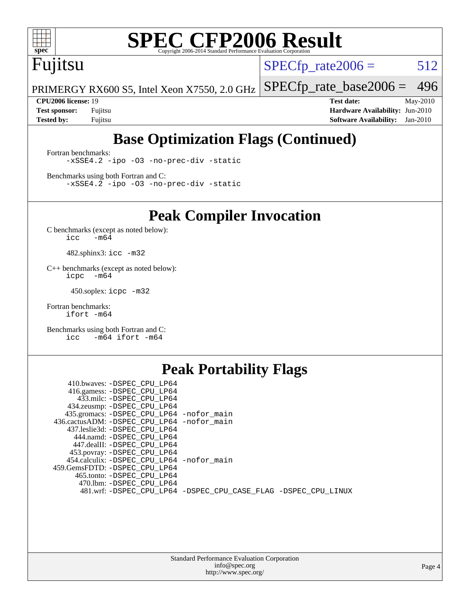

## Fujitsu

 $SPECTp_rate2006 = 512$ 

PRIMERGY RX600 S5, Intel Xeon X7550, 2.0 GHz [SPECfp\\_rate\\_base2006 =](http://www.spec.org/auto/cpu2006/Docs/result-fields.html#SPECfpratebase2006) 496

**[CPU2006 license:](http://www.spec.org/auto/cpu2006/Docs/result-fields.html#CPU2006license)** 19 **[Test date:](http://www.spec.org/auto/cpu2006/Docs/result-fields.html#Testdate)** May-2010 **[Test sponsor:](http://www.spec.org/auto/cpu2006/Docs/result-fields.html#Testsponsor)** Fujitsu **[Hardware Availability:](http://www.spec.org/auto/cpu2006/Docs/result-fields.html#HardwareAvailability)** Jun-2010 **[Tested by:](http://www.spec.org/auto/cpu2006/Docs/result-fields.html#Testedby)** Fujitsu **[Software Availability:](http://www.spec.org/auto/cpu2006/Docs/result-fields.html#SoftwareAvailability)** Jan-2010

## **[Base Optimization Flags \(Continued\)](http://www.spec.org/auto/cpu2006/Docs/result-fields.html#BaseOptimizationFlags)**

[Fortran benchmarks](http://www.spec.org/auto/cpu2006/Docs/result-fields.html#Fortranbenchmarks): [-xSSE4.2](http://www.spec.org/cpu2006/results/res2010q3/cpu2006-20100702-12043.flags.html#user_FCbase_f-xSSE42_f91528193cf0b216347adb8b939d4107) [-ipo](http://www.spec.org/cpu2006/results/res2010q3/cpu2006-20100702-12043.flags.html#user_FCbase_f-ipo) [-O3](http://www.spec.org/cpu2006/results/res2010q3/cpu2006-20100702-12043.flags.html#user_FCbase_f-O3) [-no-prec-div](http://www.spec.org/cpu2006/results/res2010q3/cpu2006-20100702-12043.flags.html#user_FCbase_f-no-prec-div) [-static](http://www.spec.org/cpu2006/results/res2010q3/cpu2006-20100702-12043.flags.html#user_FCbase_f-static)

[Benchmarks using both Fortran and C](http://www.spec.org/auto/cpu2006/Docs/result-fields.html#BenchmarksusingbothFortranandC): [-xSSE4.2](http://www.spec.org/cpu2006/results/res2010q3/cpu2006-20100702-12043.flags.html#user_CC_FCbase_f-xSSE42_f91528193cf0b216347adb8b939d4107) [-ipo](http://www.spec.org/cpu2006/results/res2010q3/cpu2006-20100702-12043.flags.html#user_CC_FCbase_f-ipo) [-O3](http://www.spec.org/cpu2006/results/res2010q3/cpu2006-20100702-12043.flags.html#user_CC_FCbase_f-O3) [-no-prec-div](http://www.spec.org/cpu2006/results/res2010q3/cpu2006-20100702-12043.flags.html#user_CC_FCbase_f-no-prec-div) [-static](http://www.spec.org/cpu2006/results/res2010q3/cpu2006-20100702-12043.flags.html#user_CC_FCbase_f-static)

**[Peak Compiler Invocation](http://www.spec.org/auto/cpu2006/Docs/result-fields.html#PeakCompilerInvocation)**

[C benchmarks \(except as noted below\)](http://www.spec.org/auto/cpu2006/Docs/result-fields.html#Cbenchmarksexceptasnotedbelow):  $\text{icc}$  -m64

482.sphinx3: [icc -m32](http://www.spec.org/cpu2006/results/res2010q3/cpu2006-20100702-12043.flags.html#user_peakCCLD482_sphinx3_intel_icc_32bit_a6a621f8d50482236b970c6ac5f55f93)

[C++ benchmarks \(except as noted below\):](http://www.spec.org/auto/cpu2006/Docs/result-fields.html#CXXbenchmarksexceptasnotedbelow) [icpc -m64](http://www.spec.org/cpu2006/results/res2010q3/cpu2006-20100702-12043.flags.html#user_CXXpeak_intel_icpc_64bit_bedb90c1146cab66620883ef4f41a67e)

450.soplex: [icpc -m32](http://www.spec.org/cpu2006/results/res2010q3/cpu2006-20100702-12043.flags.html#user_peakCXXLD450_soplex_intel_icpc_32bit_4e5a5ef1a53fd332b3c49e69c3330699)

[Fortran benchmarks](http://www.spec.org/auto/cpu2006/Docs/result-fields.html#Fortranbenchmarks): [ifort -m64](http://www.spec.org/cpu2006/results/res2010q3/cpu2006-20100702-12043.flags.html#user_FCpeak_intel_ifort_64bit_ee9d0fb25645d0210d97eb0527dcc06e)

[Benchmarks using both Fortran and C](http://www.spec.org/auto/cpu2006/Docs/result-fields.html#BenchmarksusingbothFortranandC): [icc -m64](http://www.spec.org/cpu2006/results/res2010q3/cpu2006-20100702-12043.flags.html#user_CC_FCpeak_intel_icc_64bit_0b7121f5ab7cfabee23d88897260401c) [ifort -m64](http://www.spec.org/cpu2006/results/res2010q3/cpu2006-20100702-12043.flags.html#user_CC_FCpeak_intel_ifort_64bit_ee9d0fb25645d0210d97eb0527dcc06e)

#### **[Peak Portability Flags](http://www.spec.org/auto/cpu2006/Docs/result-fields.html#PeakPortabilityFlags)**

| 410.bwaves: -DSPEC CPU LP64                |                                                                |
|--------------------------------------------|----------------------------------------------------------------|
| 416.gamess: -DSPEC_CPU_LP64                |                                                                |
| 433.milc: -DSPEC CPU LP64                  |                                                                |
| 434.zeusmp: -DSPEC_CPU_LP64                |                                                                |
| 435.gromacs: -DSPEC_CPU_LP64 -nofor_main   |                                                                |
| 436.cactusADM: -DSPEC CPU LP64 -nofor main |                                                                |
| 437.leslie3d: -DSPEC CPU LP64              |                                                                |
| 444.namd: -DSPEC CPU LP64                  |                                                                |
| 447.dealII: -DSPEC CPU LP64                |                                                                |
| 453.povray: -DSPEC_CPU_LP64                |                                                                |
| 454.calculix: -DSPEC CPU LP64 -nofor main  |                                                                |
| 459.GemsFDTD: -DSPEC CPU LP64              |                                                                |
| 465.tonto: -DSPEC CPU LP64                 |                                                                |
| 470.1bm: -DSPEC CPU LP64                   |                                                                |
|                                            | 481.wrf: -DSPEC_CPU_LP64 -DSPEC_CPU_CASE_FLAG -DSPEC_CPU_LINUX |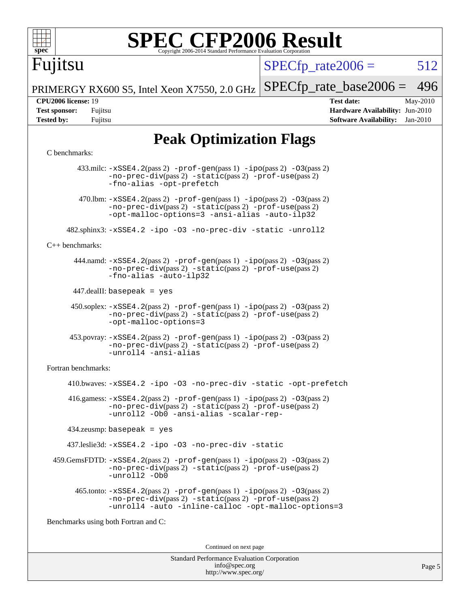

 $SPECTp\_rate2006 = 512$ 

PRIMERGY RX600 S5, Intel Xeon X7550, 2.0 GHz [SPECfp\\_rate\\_base2006 =](http://www.spec.org/auto/cpu2006/Docs/result-fields.html#SPECfpratebase2006) 496

Fujitsu

**[CPU2006 license:](http://www.spec.org/auto/cpu2006/Docs/result-fields.html#CPU2006license)** 19 **[Test date:](http://www.spec.org/auto/cpu2006/Docs/result-fields.html#Testdate)** May-2010 **[Test sponsor:](http://www.spec.org/auto/cpu2006/Docs/result-fields.html#Testsponsor)** Fujitsu **[Hardware Availability:](http://www.spec.org/auto/cpu2006/Docs/result-fields.html#HardwareAvailability)** Jun-2010 **[Tested by:](http://www.spec.org/auto/cpu2006/Docs/result-fields.html#Testedby)** Fujitsu **[Software Availability:](http://www.spec.org/auto/cpu2006/Docs/result-fields.html#SoftwareAvailability)** Jan-2010

## **[Peak Optimization Flags](http://www.spec.org/auto/cpu2006/Docs/result-fields.html#PeakOptimizationFlags)**

#### [C benchmarks](http://www.spec.org/auto/cpu2006/Docs/result-fields.html#Cbenchmarks):

 433.milc: [-xSSE4.2](http://www.spec.org/cpu2006/results/res2010q3/cpu2006-20100702-12043.flags.html#user_peakPASS2_CFLAGSPASS2_LDFLAGS433_milc_f-xSSE42_f91528193cf0b216347adb8b939d4107)(pass 2) [-prof-gen](http://www.spec.org/cpu2006/results/res2010q3/cpu2006-20100702-12043.flags.html#user_peakPASS1_CFLAGSPASS1_LDFLAGS433_milc_prof_gen_e43856698f6ca7b7e442dfd80e94a8fc)(pass 1) [-ipo](http://www.spec.org/cpu2006/results/res2010q3/cpu2006-20100702-12043.flags.html#user_peakPASS2_CFLAGSPASS2_LDFLAGS433_milc_f-ipo)(pass 2) [-O3](http://www.spec.org/cpu2006/results/res2010q3/cpu2006-20100702-12043.flags.html#user_peakPASS2_CFLAGSPASS2_LDFLAGS433_milc_f-O3)(pass 2) [-no-prec-div](http://www.spec.org/cpu2006/results/res2010q3/cpu2006-20100702-12043.flags.html#user_peakPASS2_CFLAGSPASS2_LDFLAGS433_milc_f-no-prec-div)(pass 2) [-static](http://www.spec.org/cpu2006/results/res2010q3/cpu2006-20100702-12043.flags.html#user_peakPASS2_CFLAGSPASS2_LDFLAGS433_milc_f-static)(pass 2) [-prof-use](http://www.spec.org/cpu2006/results/res2010q3/cpu2006-20100702-12043.flags.html#user_peakPASS2_CFLAGSPASS2_LDFLAGS433_milc_prof_use_bccf7792157ff70d64e32fe3e1250b55)(pass 2) [-fno-alias](http://www.spec.org/cpu2006/results/res2010q3/cpu2006-20100702-12043.flags.html#user_peakOPTIMIZE433_milc_f-no-alias_694e77f6c5a51e658e82ccff53a9e63a) [-opt-prefetch](http://www.spec.org/cpu2006/results/res2010q3/cpu2006-20100702-12043.flags.html#user_peakOPTIMIZE433_milc_f-opt-prefetch) 470.1bm:  $-xSSE4$ . 2(pass 2)  $-prof-gen(pass 1) -ipo(pass 2) -O3(pass 2)$  $-prof-gen(pass 1) -ipo(pass 2) -O3(pass 2)$  $-prof-gen(pass 1) -ipo(pass 2) -O3(pass 2)$  $-prof-gen(pass 1) -ipo(pass 2) -O3(pass 2)$  $-prof-gen(pass 1) -ipo(pass 2) -O3(pass 2)$  $-prof-gen(pass 1) -ipo(pass 2) -O3(pass 2)$ [-no-prec-div](http://www.spec.org/cpu2006/results/res2010q3/cpu2006-20100702-12043.flags.html#user_peakPASS2_CFLAGSPASS2_LDFLAGS470_lbm_f-no-prec-div)(pass 2) [-static](http://www.spec.org/cpu2006/results/res2010q3/cpu2006-20100702-12043.flags.html#user_peakPASS2_CFLAGSPASS2_LDFLAGS470_lbm_f-static)(pass 2) [-prof-use](http://www.spec.org/cpu2006/results/res2010q3/cpu2006-20100702-12043.flags.html#user_peakPASS2_CFLAGSPASS2_LDFLAGS470_lbm_prof_use_bccf7792157ff70d64e32fe3e1250b55)(pass 2) [-opt-malloc-options=3](http://www.spec.org/cpu2006/results/res2010q3/cpu2006-20100702-12043.flags.html#user_peakOPTIMIZE470_lbm_f-opt-malloc-options_13ab9b803cf986b4ee62f0a5998c2238) [-ansi-alias](http://www.spec.org/cpu2006/results/res2010q3/cpu2006-20100702-12043.flags.html#user_peakOPTIMIZE470_lbm_f-ansi-alias) [-auto-ilp32](http://www.spec.org/cpu2006/results/res2010q3/cpu2006-20100702-12043.flags.html#user_peakCOPTIMIZE470_lbm_f-auto-ilp32) 482.sphinx3: [-xSSE4.2](http://www.spec.org/cpu2006/results/res2010q3/cpu2006-20100702-12043.flags.html#user_peakOPTIMIZE482_sphinx3_f-xSSE42_f91528193cf0b216347adb8b939d4107) [-ipo](http://www.spec.org/cpu2006/results/res2010q3/cpu2006-20100702-12043.flags.html#user_peakOPTIMIZE482_sphinx3_f-ipo) [-O3](http://www.spec.org/cpu2006/results/res2010q3/cpu2006-20100702-12043.flags.html#user_peakOPTIMIZE482_sphinx3_f-O3) [-no-prec-div](http://www.spec.org/cpu2006/results/res2010q3/cpu2006-20100702-12043.flags.html#user_peakOPTIMIZE482_sphinx3_f-no-prec-div) [-static](http://www.spec.org/cpu2006/results/res2010q3/cpu2006-20100702-12043.flags.html#user_peakOPTIMIZE482_sphinx3_f-static) [-unroll2](http://www.spec.org/cpu2006/results/res2010q3/cpu2006-20100702-12043.flags.html#user_peakCOPTIMIZE482_sphinx3_f-unroll_784dae83bebfb236979b41d2422d7ec2) [C++ benchmarks:](http://www.spec.org/auto/cpu2006/Docs/result-fields.html#CXXbenchmarks) 444.namd: [-xSSE4.2](http://www.spec.org/cpu2006/results/res2010q3/cpu2006-20100702-12043.flags.html#user_peakPASS2_CXXFLAGSPASS2_LDFLAGS444_namd_f-xSSE42_f91528193cf0b216347adb8b939d4107)(pass 2) [-prof-gen](http://www.spec.org/cpu2006/results/res2010q3/cpu2006-20100702-12043.flags.html#user_peakPASS1_CXXFLAGSPASS1_LDFLAGS444_namd_prof_gen_e43856698f6ca7b7e442dfd80e94a8fc)(pass 1) [-ipo](http://www.spec.org/cpu2006/results/res2010q3/cpu2006-20100702-12043.flags.html#user_peakPASS2_CXXFLAGSPASS2_LDFLAGS444_namd_f-ipo)(pass 2) [-O3](http://www.spec.org/cpu2006/results/res2010q3/cpu2006-20100702-12043.flags.html#user_peakPASS2_CXXFLAGSPASS2_LDFLAGS444_namd_f-O3)(pass 2) [-no-prec-div](http://www.spec.org/cpu2006/results/res2010q3/cpu2006-20100702-12043.flags.html#user_peakPASS2_CXXFLAGSPASS2_LDFLAGS444_namd_f-no-prec-div)(pass 2) [-static](http://www.spec.org/cpu2006/results/res2010q3/cpu2006-20100702-12043.flags.html#user_peakPASS2_CXXFLAGSPASS2_LDFLAGS444_namd_f-static)(pass 2) [-prof-use](http://www.spec.org/cpu2006/results/res2010q3/cpu2006-20100702-12043.flags.html#user_peakPASS2_CXXFLAGSPASS2_LDFLAGS444_namd_prof_use_bccf7792157ff70d64e32fe3e1250b55)(pass 2) [-fno-alias](http://www.spec.org/cpu2006/results/res2010q3/cpu2006-20100702-12043.flags.html#user_peakCXXOPTIMIZE444_namd_f-no-alias_694e77f6c5a51e658e82ccff53a9e63a) [-auto-ilp32](http://www.spec.org/cpu2006/results/res2010q3/cpu2006-20100702-12043.flags.html#user_peakCXXOPTIMIZE444_namd_f-auto-ilp32) 447.dealII: basepeak = yes 450.soplex: [-xSSE4.2](http://www.spec.org/cpu2006/results/res2010q3/cpu2006-20100702-12043.flags.html#user_peakPASS2_CXXFLAGSPASS2_LDFLAGS450_soplex_f-xSSE42_f91528193cf0b216347adb8b939d4107)(pass 2) [-prof-gen](http://www.spec.org/cpu2006/results/res2010q3/cpu2006-20100702-12043.flags.html#user_peakPASS1_CXXFLAGSPASS1_LDFLAGS450_soplex_prof_gen_e43856698f6ca7b7e442dfd80e94a8fc)(pass 1) [-ipo](http://www.spec.org/cpu2006/results/res2010q3/cpu2006-20100702-12043.flags.html#user_peakPASS2_CXXFLAGSPASS2_LDFLAGS450_soplex_f-ipo)(pass 2) [-O3](http://www.spec.org/cpu2006/results/res2010q3/cpu2006-20100702-12043.flags.html#user_peakPASS2_CXXFLAGSPASS2_LDFLAGS450_soplex_f-O3)(pass 2) [-no-prec-div](http://www.spec.org/cpu2006/results/res2010q3/cpu2006-20100702-12043.flags.html#user_peakPASS2_CXXFLAGSPASS2_LDFLAGS450_soplex_f-no-prec-div)(pass 2) [-static](http://www.spec.org/cpu2006/results/res2010q3/cpu2006-20100702-12043.flags.html#user_peakPASS2_CXXFLAGSPASS2_LDFLAGS450_soplex_f-static)(pass 2) [-prof-use](http://www.spec.org/cpu2006/results/res2010q3/cpu2006-20100702-12043.flags.html#user_peakPASS2_CXXFLAGSPASS2_LDFLAGS450_soplex_prof_use_bccf7792157ff70d64e32fe3e1250b55)(pass 2) [-opt-malloc-options=3](http://www.spec.org/cpu2006/results/res2010q3/cpu2006-20100702-12043.flags.html#user_peakOPTIMIZE450_soplex_f-opt-malloc-options_13ab9b803cf986b4ee62f0a5998c2238) 453.povray: [-xSSE4.2](http://www.spec.org/cpu2006/results/res2010q3/cpu2006-20100702-12043.flags.html#user_peakPASS2_CXXFLAGSPASS2_LDFLAGS453_povray_f-xSSE42_f91528193cf0b216347adb8b939d4107)(pass 2) [-prof-gen](http://www.spec.org/cpu2006/results/res2010q3/cpu2006-20100702-12043.flags.html#user_peakPASS1_CXXFLAGSPASS1_LDFLAGS453_povray_prof_gen_e43856698f6ca7b7e442dfd80e94a8fc)(pass 1) [-ipo](http://www.spec.org/cpu2006/results/res2010q3/cpu2006-20100702-12043.flags.html#user_peakPASS2_CXXFLAGSPASS2_LDFLAGS453_povray_f-ipo)(pass 2) [-O3](http://www.spec.org/cpu2006/results/res2010q3/cpu2006-20100702-12043.flags.html#user_peakPASS2_CXXFLAGSPASS2_LDFLAGS453_povray_f-O3)(pass 2) [-no-prec-div](http://www.spec.org/cpu2006/results/res2010q3/cpu2006-20100702-12043.flags.html#user_peakPASS2_CXXFLAGSPASS2_LDFLAGS453_povray_f-no-prec-div)(pass 2) [-static](http://www.spec.org/cpu2006/results/res2010q3/cpu2006-20100702-12043.flags.html#user_peakPASS2_CXXFLAGSPASS2_LDFLAGS453_povray_f-static)(pass 2) [-prof-use](http://www.spec.org/cpu2006/results/res2010q3/cpu2006-20100702-12043.flags.html#user_peakPASS2_CXXFLAGSPASS2_LDFLAGS453_povray_prof_use_bccf7792157ff70d64e32fe3e1250b55)(pass 2) [-unroll4](http://www.spec.org/cpu2006/results/res2010q3/cpu2006-20100702-12043.flags.html#user_peakCXXOPTIMIZE453_povray_f-unroll_4e5e4ed65b7fd20bdcd365bec371b81f) [-ansi-alias](http://www.spec.org/cpu2006/results/res2010q3/cpu2006-20100702-12043.flags.html#user_peakCXXOPTIMIZE453_povray_f-ansi-alias) [Fortran benchmarks](http://www.spec.org/auto/cpu2006/Docs/result-fields.html#Fortranbenchmarks): 410.bwaves: [-xSSE4.2](http://www.spec.org/cpu2006/results/res2010q3/cpu2006-20100702-12043.flags.html#user_peakOPTIMIZE410_bwaves_f-xSSE42_f91528193cf0b216347adb8b939d4107) [-ipo](http://www.spec.org/cpu2006/results/res2010q3/cpu2006-20100702-12043.flags.html#user_peakOPTIMIZE410_bwaves_f-ipo) [-O3](http://www.spec.org/cpu2006/results/res2010q3/cpu2006-20100702-12043.flags.html#user_peakOPTIMIZE410_bwaves_f-O3) [-no-prec-div](http://www.spec.org/cpu2006/results/res2010q3/cpu2006-20100702-12043.flags.html#user_peakOPTIMIZE410_bwaves_f-no-prec-div) [-static](http://www.spec.org/cpu2006/results/res2010q3/cpu2006-20100702-12043.flags.html#user_peakOPTIMIZE410_bwaves_f-static) [-opt-prefetch](http://www.spec.org/cpu2006/results/res2010q3/cpu2006-20100702-12043.flags.html#user_peakOPTIMIZE410_bwaves_f-opt-prefetch)  $416$ .gamess:  $-xSSE4$ .  $2(pass 2)$  -prof-qen(pass 1) [-ipo](http://www.spec.org/cpu2006/results/res2010q3/cpu2006-20100702-12043.flags.html#user_peakPASS2_FFLAGSPASS2_LDFLAGS416_gamess_f-ipo)(pass 2) -03(pass 2) [-no-prec-div](http://www.spec.org/cpu2006/results/res2010q3/cpu2006-20100702-12043.flags.html#user_peakPASS2_FFLAGSPASS2_LDFLAGS416_gamess_f-no-prec-div)(pass 2) [-static](http://www.spec.org/cpu2006/results/res2010q3/cpu2006-20100702-12043.flags.html#user_peakPASS2_FFLAGSPASS2_LDFLAGS416_gamess_f-static)(pass 2) [-prof-use](http://www.spec.org/cpu2006/results/res2010q3/cpu2006-20100702-12043.flags.html#user_peakPASS2_FFLAGSPASS2_LDFLAGS416_gamess_prof_use_bccf7792157ff70d64e32fe3e1250b55)(pass 2) [-unroll2](http://www.spec.org/cpu2006/results/res2010q3/cpu2006-20100702-12043.flags.html#user_peakOPTIMIZE416_gamess_f-unroll_784dae83bebfb236979b41d2422d7ec2) [-Ob0](http://www.spec.org/cpu2006/results/res2010q3/cpu2006-20100702-12043.flags.html#user_peakOPTIMIZE416_gamess_f-Ob_n_fbe6f6428adb7d4b74b1e99bb2444c2d) [-ansi-alias](http://www.spec.org/cpu2006/results/res2010q3/cpu2006-20100702-12043.flags.html#user_peakOPTIMIZE416_gamess_f-ansi-alias) [-scalar-rep-](http://www.spec.org/cpu2006/results/res2010q3/cpu2006-20100702-12043.flags.html#user_peakOPTIMIZE416_gamess_f-disablescalarrep_abbcad04450fb118e4809c81d83c8a1d) 434.zeusmp: basepeak = yes 437.leslie3d: [-xSSE4.2](http://www.spec.org/cpu2006/results/res2010q3/cpu2006-20100702-12043.flags.html#user_peakOPTIMIZE437_leslie3d_f-xSSE42_f91528193cf0b216347adb8b939d4107) [-ipo](http://www.spec.org/cpu2006/results/res2010q3/cpu2006-20100702-12043.flags.html#user_peakOPTIMIZE437_leslie3d_f-ipo) [-O3](http://www.spec.org/cpu2006/results/res2010q3/cpu2006-20100702-12043.flags.html#user_peakOPTIMIZE437_leslie3d_f-O3) [-no-prec-div](http://www.spec.org/cpu2006/results/res2010q3/cpu2006-20100702-12043.flags.html#user_peakOPTIMIZE437_leslie3d_f-no-prec-div) [-static](http://www.spec.org/cpu2006/results/res2010q3/cpu2006-20100702-12043.flags.html#user_peakOPTIMIZE437_leslie3d_f-static) 459.GemsFDTD: [-xSSE4.2](http://www.spec.org/cpu2006/results/res2010q3/cpu2006-20100702-12043.flags.html#user_peakPASS2_FFLAGSPASS2_LDFLAGS459_GemsFDTD_f-xSSE42_f91528193cf0b216347adb8b939d4107)(pass 2) [-prof-gen](http://www.spec.org/cpu2006/results/res2010q3/cpu2006-20100702-12043.flags.html#user_peakPASS1_FFLAGSPASS1_LDFLAGS459_GemsFDTD_prof_gen_e43856698f6ca7b7e442dfd80e94a8fc)(pass 1) [-ipo](http://www.spec.org/cpu2006/results/res2010q3/cpu2006-20100702-12043.flags.html#user_peakPASS2_FFLAGSPASS2_LDFLAGS459_GemsFDTD_f-ipo)(pass 2) [-O3](http://www.spec.org/cpu2006/results/res2010q3/cpu2006-20100702-12043.flags.html#user_peakPASS2_FFLAGSPASS2_LDFLAGS459_GemsFDTD_f-O3)(pass 2) [-no-prec-div](http://www.spec.org/cpu2006/results/res2010q3/cpu2006-20100702-12043.flags.html#user_peakPASS2_FFLAGSPASS2_LDFLAGS459_GemsFDTD_f-no-prec-div)(pass 2) [-static](http://www.spec.org/cpu2006/results/res2010q3/cpu2006-20100702-12043.flags.html#user_peakPASS2_FFLAGSPASS2_LDFLAGS459_GemsFDTD_f-static)(pass 2) [-prof-use](http://www.spec.org/cpu2006/results/res2010q3/cpu2006-20100702-12043.flags.html#user_peakPASS2_FFLAGSPASS2_LDFLAGS459_GemsFDTD_prof_use_bccf7792157ff70d64e32fe3e1250b55)(pass 2) [-unroll2](http://www.spec.org/cpu2006/results/res2010q3/cpu2006-20100702-12043.flags.html#user_peakOPTIMIZE459_GemsFDTD_f-unroll_784dae83bebfb236979b41d2422d7ec2) [-Ob0](http://www.spec.org/cpu2006/results/res2010q3/cpu2006-20100702-12043.flags.html#user_peakOPTIMIZE459_GemsFDTD_f-Ob_n_fbe6f6428adb7d4b74b1e99bb2444c2d) 465.tonto: [-xSSE4.2](http://www.spec.org/cpu2006/results/res2010q3/cpu2006-20100702-12043.flags.html#user_peakPASS2_FFLAGSPASS2_LDFLAGS465_tonto_f-xSSE42_f91528193cf0b216347adb8b939d4107)(pass 2) [-prof-gen](http://www.spec.org/cpu2006/results/res2010q3/cpu2006-20100702-12043.flags.html#user_peakPASS1_FFLAGSPASS1_LDFLAGS465_tonto_prof_gen_e43856698f6ca7b7e442dfd80e94a8fc)(pass 1) [-ipo](http://www.spec.org/cpu2006/results/res2010q3/cpu2006-20100702-12043.flags.html#user_peakPASS2_FFLAGSPASS2_LDFLAGS465_tonto_f-ipo)(pass 2) [-O3](http://www.spec.org/cpu2006/results/res2010q3/cpu2006-20100702-12043.flags.html#user_peakPASS2_FFLAGSPASS2_LDFLAGS465_tonto_f-O3)(pass 2) [-no-prec-div](http://www.spec.org/cpu2006/results/res2010q3/cpu2006-20100702-12043.flags.html#user_peakPASS2_FFLAGSPASS2_LDFLAGS465_tonto_f-no-prec-div)(pass 2) [-static](http://www.spec.org/cpu2006/results/res2010q3/cpu2006-20100702-12043.flags.html#user_peakPASS2_FFLAGSPASS2_LDFLAGS465_tonto_f-static)(pass 2) [-prof-use](http://www.spec.org/cpu2006/results/res2010q3/cpu2006-20100702-12043.flags.html#user_peakPASS2_FFLAGSPASS2_LDFLAGS465_tonto_prof_use_bccf7792157ff70d64e32fe3e1250b55)(pass 2) [-unroll4](http://www.spec.org/cpu2006/results/res2010q3/cpu2006-20100702-12043.flags.html#user_peakOPTIMIZE465_tonto_f-unroll_4e5e4ed65b7fd20bdcd365bec371b81f) [-auto](http://www.spec.org/cpu2006/results/res2010q3/cpu2006-20100702-12043.flags.html#user_peakOPTIMIZE465_tonto_f-auto) [-inline-calloc](http://www.spec.org/cpu2006/results/res2010q3/cpu2006-20100702-12043.flags.html#user_peakOPTIMIZE465_tonto_f-inline-calloc) [-opt-malloc-options=3](http://www.spec.org/cpu2006/results/res2010q3/cpu2006-20100702-12043.flags.html#user_peakOPTIMIZE465_tonto_f-opt-malloc-options_13ab9b803cf986b4ee62f0a5998c2238) [Benchmarks using both Fortran and C](http://www.spec.org/auto/cpu2006/Docs/result-fields.html#BenchmarksusingbothFortranandC): Continued on next page